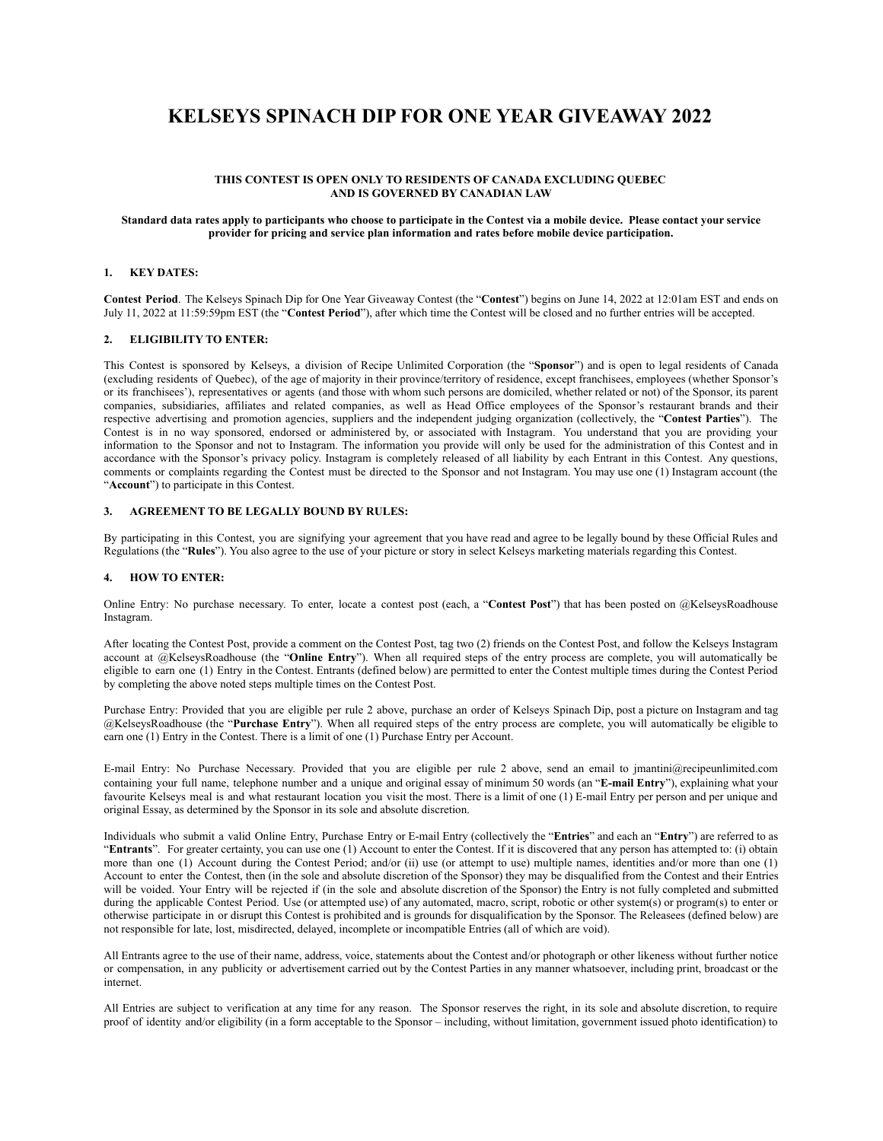# **KELSEYS SPINACH DIP FOR ONE YEAR GIVEAWAY 2022**

## **THIS CONTEST IS OPEN ONLY TO RESIDENTS OF CANADA EXCLUDING QUEBEC AND IS GOVERNED BY CANADIAN LAW**

#### Standard data rates apply to participants who choose to participate in the Contest via a mobile device. Please contact your service **provider for pricing and service plan information and rates before mobile device participation.**

### **1. KEY DATES:**

**Contest Period**. The Kelseys Spinach Dip for One Year Giveaway Contest (the "**Contest**") begins on June 14, 2022 at 12:01am EST and ends on July 11, 2022 at 11:59:59pm EST (the "**Contest Period**"), after which time the Contest will be closed and no further entries will be accepted.

## **2. ELIGIBILITY TO ENTER:**

This Contest is sponsored by Kelseys, a division of Recipe Unlimited Corporation (the "**Sponsor**") and is open to legal residents of Canada (excluding residents of Quebec), of the age of majority in their province/territory of residence, except franchisees, employees (whether Sponsor's or its franchisees'), representatives or agents (and those with whom such persons are domiciled, whether related or not) of the Sponsor, its parent companies, subsidiaries, affiliates and related companies, as well as Head Office employees of the Sponsor's restaurant brands and their respective advertising and promotion agencies, suppliers and the independent judging organization (collectively, the "**Contest Parties**"). The Contest is in no way sponsored, endorsed or administered by, or associated with Instagram. You understand that you are providing your information to the Sponsor and not to Instagram. The information you provide will only be used for the administration of this Contest and in accordance with the Sponsor's privacy policy. Instagram is completely released of all liability by each Entrant in this Contest. Any questions, comments or complaints regarding the Contest must be directed to the Sponsor and not Instagram. You may use one (1) Instagram account (the "**Account**") to participate in this Contest.

## **3. AGREEMENT TO BE LEGALLY BOUND BY RULES:**

By participating in this Contest, you are signifying your agreement that you have read and agree to be legally bound by these Official Rules and Regulations (the "**Rules**"). You also agree to the use of your picture or story in select Kelseys marketing materials regarding this Contest.

### **4. HOW TO ENTER:**

Online Entry: No purchase necessary. To enter, locate a contest post (each, a "**Contest Post**") that has been posted on @KelseysRoadhouse Instagram.

After locating the Contest Post, provide a comment on the Contest Post, tag two (2) friends on the Contest Post, and follow the Kelseys Instagram account at @KelseysRoadhouse (the "**Online Entry**"). When all required steps of the entry process are complete, you will automatically be eligible to earn one (1) Entry in the Contest. Entrants (defined below) are permitted to enter the Contest multiple times during the Contest Period by completing the above noted steps multiple times on the Contest Post.

Purchase Entry: Provided that you are eligible per rule 2 above, purchase an order of Kelseys Spinach Dip, post a picture on Instagram and tag @KelseysRoadhouse (the "**Purchase Entry**"). When all required steps of the entry process are complete, you will automatically be eligible to earn one (1) Entry in the Contest. There is a limit of one (1) Purchase Entry per Account.

E-mail Entry: No Purchase Necessary. Provided that you are eligible per rule 2 above, send an email to jmantin[i@recipeunlimited.com](mailto:gracepan@recipeunlimited.com) containing your full name, telephone number and a unique and original essay of minimum 50 words (an "**E-mail Entry**"), explaining what your favourite Kelseys meal is and what restaurant location you visit the most. There is a limit of one (1) E-mail Entry per person and per unique and original Essay, as determined by the Sponsor in its sole and absolute discretion.

Individuals who submit a valid Online Entry, Purchase Entry or E-mail Entry (collectively the "**Entries**" and each an "**Entry**") are referred to as "Entrants". For greater certainty, you can use one (1) Account to enter the Contest. If it is discovered that any person has attempted to: (i) obtain more than one (1) Account during the Contest Period; and/or (ii) use (or attempt to use) multiple names, identities and/or more than one (1) Account to enter the Contest, then (in the sole and absolute discretion of the Sponsor) they may be disqualified from the Contest and their Entries will be voided. Your Entry will be rejected if (in the sole and absolute discretion of the Sponsor) the Entry is not fully completed and submitted during the applicable Contest Period. Use (or attempted use) of any automated, macro, script, robotic or other system(s) or program(s) to enter or otherwise participate in or disrupt this Contest is prohibited and is grounds for disqualification by the Sponsor. The Releasees (defined below) are not responsible for late, lost, misdirected, delayed, incomplete or incompatible Entries (all of which are void).

All Entrants agree to the use of their name, address, voice, statements about the Contest and/or photograph or other likeness without further notice or compensation, in any publicity or advertisement carried out by the Contest Parties in any manner whatsoever, including print, broadcast or the internet.

All Entries are subject to verification at any time for any reason. The Sponsor reserves the right, in its sole and absolute discretion, to require proof of identity and/or eligibility (in a form acceptable to the Sponsor – including, without limitation, government issued photo identification) to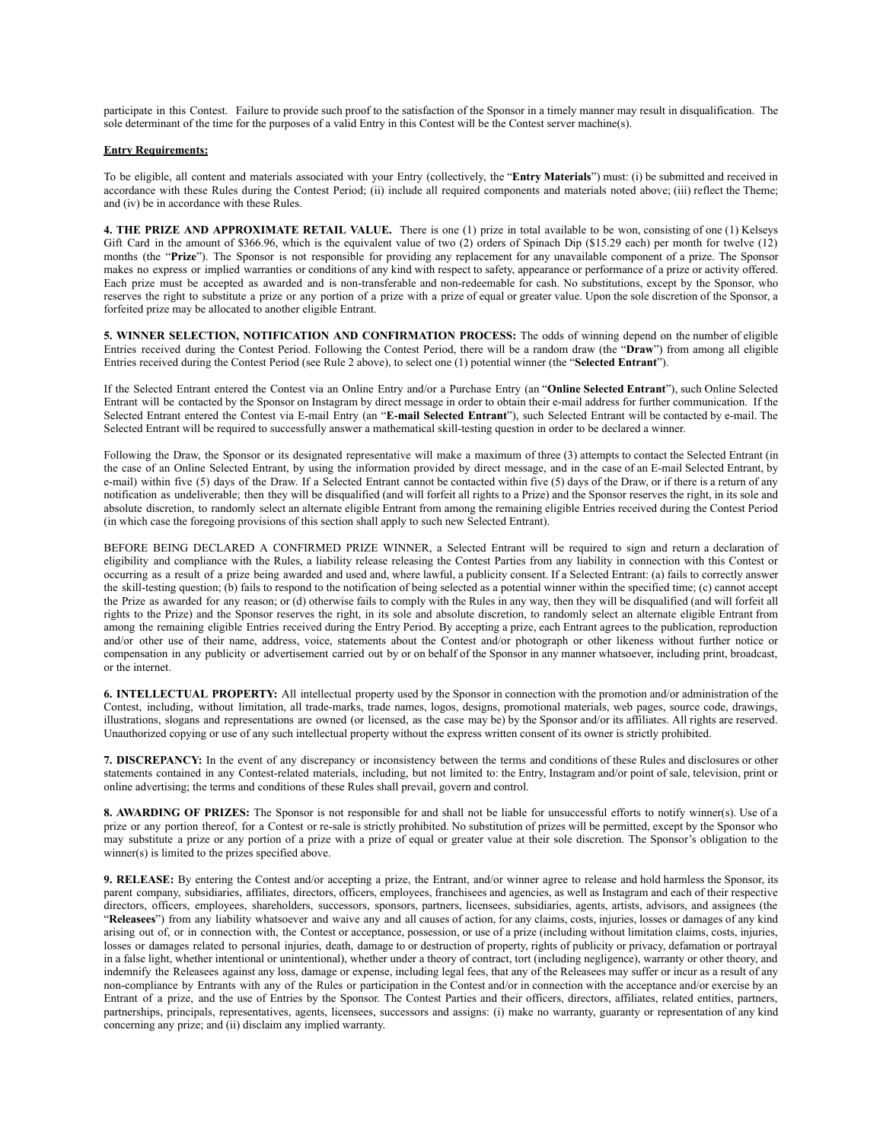participate in this Contest. Failure to provide such proof to the satisfaction of the Sponsor in a timely manner may result in disqualification. The sole determinant of the time for the purposes of a valid Entry in this Contest will be the Contest server machine(s).

### **Entry Requirements:**

To be eligible, all content and materials associated with your Entry (collectively, the "**Entry Materials**") must: (i) be submitted and received in accordance with these Rules during the Contest Period; (ii) include all required components and materials noted above; (iii) reflect the Theme; and (iv) be in accordance with these Rules.

**4. THE PRIZE AND APPROXIMATE RETAIL VALUE.** There is one (1) prize in total available to be won, consisting of one (1) Kelseys Gift Card in the amount of \$366.96, which is the equivalent value of two (2) orders of Spinach Dip (\$15.29 each) per month for twelve (12) months (the "**Prize**"). The Sponsor is not responsible for providing any replacement for any unavailable component of a prize. The Sponsor makes no express or implied warranties or conditions of any kind with respect to safety, appearance or performance of a prize or activity offered. Each prize must be accepted as awarded and is non-transferable and non-redeemable for cash. No substitutions, except by the Sponsor, who reserves the right to substitute a prize or any portion of a prize with a prize of equal or greater value. Upon the sole discretion of the Sponsor, a forfeited prize may be allocated to another eligible Entrant.

**5. WINNER SELECTION, NOTIFICATION AND CONFIRMATION PROCESS:** The odds of winning depend on the number of eligible Entries received during the Contest Period. Following the Contest Period, there will be a random draw (the "**Draw**") from among all eligible Entries received during the Contest Period (see Rule 2 above), to select one (1) potential winner (the "**Selected Entrant**").

If the Selected Entrant entered the Contest via an Online Entry and/or a Purchase Entry (an "**Online Selected Entrant**"), such Online Selected Entrant will be contacted by the Sponsor on Instagram by direct message in order to obtain their e-mail address for further communication. If the Selected Entrant entered the Contest via E-mail Entry (an "**E-mail Selected Entrant**"), such Selected Entrant will be contacted by e-mail. The Selected Entrant will be required to successfully answer a mathematical skill-testing question in order to be declared a winner.

Following the Draw, the Sponsor or its designated representative will make a maximum of three (3) attempts to contact the Selected Entrant (in the case of an Online Selected Entrant, by using the information provided by direct message, and in the case of an E-mail Selected Entrant, by e-mail) within five (5) days of the Draw. If a Selected Entrant cannot be contacted within five (5) days of the Draw, or if there is a return of any notification as undeliverable; then they will be disqualified (and will forfeit all rights to a Prize) and the Sponsor reserves the right, in its sole and absolute discretion, to randomly select an alternate eligible Entrant from among the remaining eligible Entries received during the Contest Period (in which case the foregoing provisions of this section shall apply to such new Selected Entrant).

BEFORE BEING DECLARED A CONFIRMED PRIZE WINNER, a Selected Entrant will be required to sign and return a declaration of eligibility and compliance with the Rules, a liability release releasing the Contest Parties from any liability in connection with this Contest or occurring as a result of a prize being awarded and used and, where lawful, a publicity consent. If a Selected Entrant: (a) fails to correctly answer the skill-testing question; (b) fails to respond to the notification of being selected as a potential winner within the specified time; (c) cannot accept the Prize as awarded for any reason; or (d) otherwise fails to comply with the Rules in any way, then they will be disqualified (and will forfeit all rights to the Prize) and the Sponsor reserves the right, in its sole and absolute discretion, to randomly select an alternate eligible Entrant from among the remaining eligible Entries received during the Entry Period. By accepting a prize, each Entrant agrees to the publication, reproduction and/or other use of their name, address, voice, statements about the Contest and/or photograph or other likeness without further notice or compensation in any publicity or advertisement carried out by or on behalf of the Sponsor in any manner whatsoever, including print, broadcast, or the internet.

**6. INTELLECTUAL PROPERTY:** All intellectual property used by the Sponsor in connection with the promotion and/or administration of the Contest, including, without limitation, all trade-marks, trade names, logos, designs, promotional materials, web pages, source code, drawings, illustrations, slogans and representations are owned (or licensed, as the case may be) by the Sponsor and/or its affiliates. All rights are reserved. Unauthorized copying or use of any such intellectual property without the express written consent of its owner is strictly prohibited.

**7. DISCREPANCY:** In the event of any discrepancy or inconsistency between the terms and conditions of these Rules and disclosures or other statements contained in any Contest-related materials, including, but not limited to: the Entry, Instagram and/or point of sale, television, print or online advertising; the terms and conditions of these Rules shall prevail, govern and control.

**8. AWARDING OF PRIZES:** The Sponsor is not responsible for and shall not be liable for unsuccessful efforts to notify winner(s). Use of a prize or any portion thereof, for a Contest or re-sale is strictly prohibited. No substitution of prizes will be permitted, except by the Sponsor who may substitute a prize or any portion of a prize with a prize of equal or greater value at their sole discretion. The Sponsor's obligation to the winner(s) is limited to the prizes specified above.

**9. RELEASE:** By entering the Contest and/or accepting a prize, the Entrant, and/or winner agree to release and hold harmless the Sponsor, its parent company, subsidiaries, affiliates, directors, officers, employees, franchisees and agencies, as well as Instagram and each of their respective directors, officers, employees, shareholders, successors, sponsors, partners, licensees, subsidiaries, agents, artists, advisors, and assignees (the "**Releasees**") from any liability whatsoever and waive any and all causes of action, for any claims, costs, injuries, losses or damages of any kind arising out of, or in connection with, the Contest or acceptance, possession, or use of a prize (including without limitation claims, costs, injuries, losses or damages related to personal injuries, death, damage to or destruction of property, rights of publicity or privacy, defamation or portrayal in a false light, whether intentional or unintentional), whether under a theory of contract, tort (including negligence), warranty or other theory, and indemnify the Releasees against any loss, damage or expense, including legal fees, that any of the Releasees may suffer or incur as a result of any non-compliance by Entrants with any of the Rules or participation in the Contest and/or in connection with the acceptance and/or exercise by an Entrant of a prize, and the use of Entries by the Sponsor. The Contest Parties and their officers, directors, affiliates, related entities, partners, partnerships, principals, representatives, agents, licensees, successors and assigns: (i) make no warranty, guaranty or representation of any kind concerning any prize; and (ii) disclaim any implied warranty.